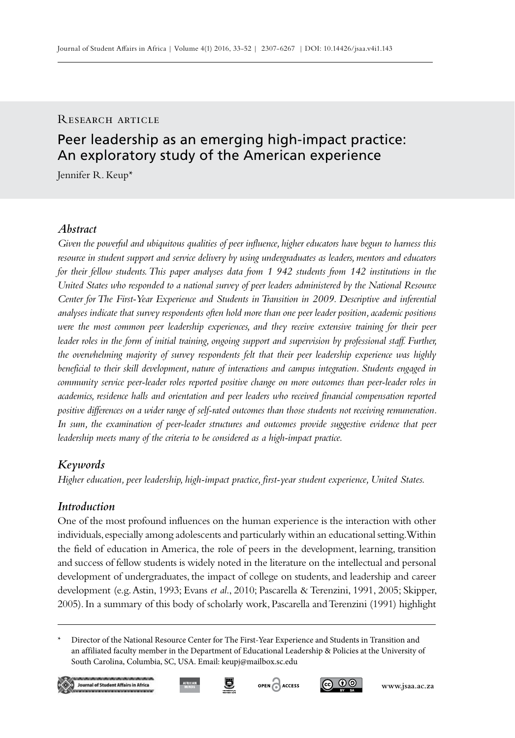## RESEARCH ARTICLE

# Peer leadership as an emerging high-impact practice: An exploratory study of the American experience

Jennifer R. Keup\*

## *Abstract*

*Given the powerful and ubiquitous qualities of peer influence, higher educators have begun to harness this resource in student support and service delivery by using undergraduates as leaders, mentors and educators for their fellow students. This paper analyses data from 1 942 students from 142 institutions in the United States who responded to a national survey of peer leaders administered by the National Resource Center for The First-Year Experience and Students in Transition in 2009. Descriptive and inferential analyses indicate that survey respondents often hold more than one peer leader position, academic positions were the most common peer leadership experiences, and they receive extensive training for their peer leader roles in the form of initial training, ongoing support and supervision by professional staff. Further, the overwhelming majority of survey respondents felt that their peer leadership experience was highly beneficial to their skill development, nature of interactions and campus integration. Students engaged in community service peer-leader roles reported positive change on more outcomes than peer-leader roles in academics, residence halls and orientation and peer leaders who received financial compensation reported positive differences on a wider range of self-rated outcomes than those students not receiving remuneration.*  In sum, the examination of peer-leader structures and outcomes provide suggestive evidence that peer *leadership meets many of the criteria to be considered as a high-impact practice.*

# *Keywords*

*Higher education, peer leadership, high-impact practice, first-year student experience, United States.*

# *Introduction*

One of the most profound influences on the human experience is the interaction with other individuals, especially among adolescents and particularly within an educational setting. Within the field of education in America, the role of peers in the development, learning, transition and success of fellow students is widely noted in the literature on the intellectual and personal development of undergraduates, the impact of college on students, and leadership and career development (e.g. Astin, 1993; Evans *et al*., 2010; Pascarella & Terenzini, 1991, 2005; Skipper, 2005). In a summary of this body of scholarly work, Pascarella and Terenzini (1991) highlight

Director of the National Resource Center for The First-Year Experience and Students in Transition and an affiliated faculty member in the Department of Educational Leadership & Policies at the University of South Carolina, Columbia, SC, USA. Email: keupj@mailbox.sc.edu

9





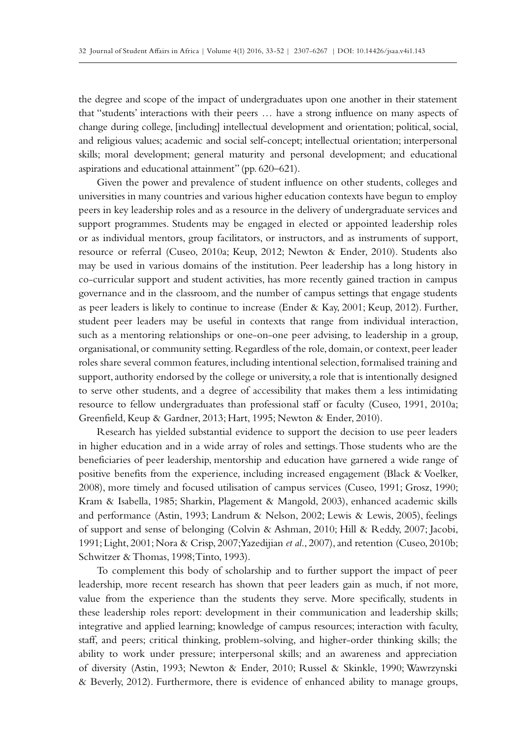the degree and scope of the impact of undergraduates upon one another in their statement that "students' interactions with their peers … have a strong influence on many aspects of change during college, [including] intellectual development and orientation; political, social, and religious values; academic and social self-concept; intellectual orientation; interpersonal skills; moral development; general maturity and personal development; and educational aspirations and educational attainment" (pp. 620–621).

Given the power and prevalence of student influence on other students, colleges and universities in many countries and various higher education contexts have begun to employ peers in key leadership roles and as a resource in the delivery of undergraduate services and support programmes. Students may be engaged in elected or appointed leadership roles or as individual mentors, group facilitators, or instructors, and as instruments of support, resource or referral (Cuseo, 2010a; Keup, 2012; Newton & Ender, 2010). Students also may be used in various domains of the institution. Peer leadership has a long history in co-curricular support and student activities, has more recently gained traction in campus governance and in the classroom, and the number of campus settings that engage students as peer leaders is likely to continue to increase (Ender & Kay, 2001; Keup, 2012). Further, student peer leaders may be useful in contexts that range from individual interaction, such as a mentoring relationships or one-on-one peer advising, to leadership in a group, organisational, or community setting. Regardless of the role, domain, or context, peer leader roles share several common features, including intentional selection, formalised training and support, authority endorsed by the college or university, a role that is intentionally designed to serve other students, and a degree of accessibility that makes them a less intimidating resource to fellow undergraduates than professional staff or faculty (Cuseo, 1991, 2010a; Greenfield, Keup & Gardner, 2013; Hart, 1995; Newton & Ender, 2010).

Research has yielded substantial evidence to support the decision to use peer leaders in higher education and in a wide array of roles and settings. Those students who are the beneficiaries of peer leadership, mentorship and education have garnered a wide range of positive benefits from the experience, including increased engagement (Black & Voelker, 2008), more timely and focused utilisation of campus services (Cuseo, 1991; Grosz, 1990; Kram & Isabella, 1985; Sharkin, Plagement & Mangold, 2003), enhanced academic skills and performance (Astin, 1993; Landrum & Nelson, 2002; Lewis & Lewis, 2005), feelings of support and sense of belonging (Colvin & Ashman, 2010; Hill & Reddy, 2007; Jacobi, 1991; Light, 2001; Nora & Crisp, 2007; Yazedijian *et al*., 2007), and retention (Cuseo, 2010b; Schwitzer & Thomas, 1998; Tinto, 1993).

To complement this body of scholarship and to further support the impact of peer leadership, more recent research has shown that peer leaders gain as much, if not more, value from the experience than the students they serve. More specifically, students in these leadership roles report: development in their communication and leadership skills; integrative and applied learning; knowledge of campus resources; interaction with faculty, staff, and peers; critical thinking, problem-solving, and higher-order thinking skills; the ability to work under pressure; interpersonal skills; and an awareness and appreciation of diversity (Astin, 1993; Newton & Ender, 2010; Russel & Skinkle, 1990; Wawrzynski & Beverly, 2012). Furthermore, there is evidence of enhanced ability to manage groups,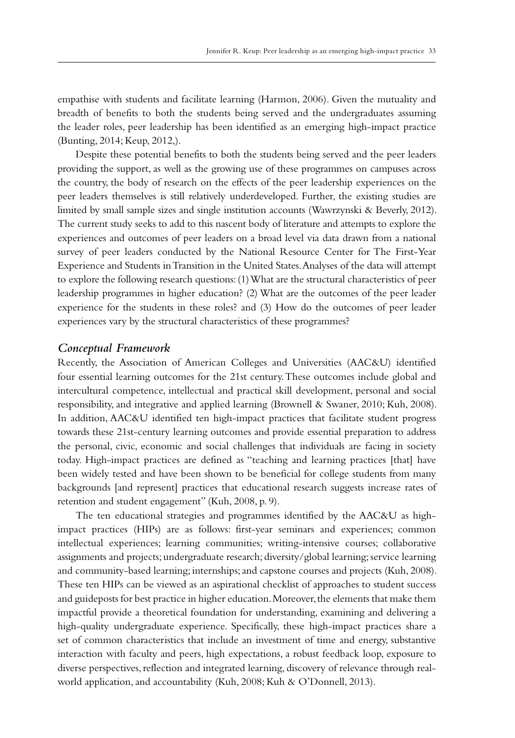empathise with students and facilitate learning (Harmon, 2006). Given the mutuality and breadth of benefits to both the students being served and the undergraduates assuming the leader roles, peer leadership has been identified as an emerging high-impact practice (Bunting, 2014; Keup, 2012,).

Despite these potential benefits to both the students being served and the peer leaders providing the support, as well as the growing use of these programmes on campuses across the country, the body of research on the effects of the peer leadership experiences on the peer leaders themselves is still relatively underdeveloped. Further, the existing studies are limited by small sample sizes and single institution accounts (Wawrzynski & Beverly, 2012). The current study seeks to add to this nascent body of literature and attempts to explore the experiences and outcomes of peer leaders on a broad level via data drawn from a national survey of peer leaders conducted by the National Resource Center for The First-Year Experience and Students in Transition in the United States. Analyses of the data will attempt to explore the following research questions: (1) What are the structural characteristics of peer leadership programmes in higher education? (2) What are the outcomes of the peer leader experience for the students in these roles? and (3) How do the outcomes of peer leader experiences vary by the structural characteristics of these programmes?

## *Conceptual Framework*

Recently, the Association of American Colleges and Universities (AAC&U) identified four essential learning outcomes for the 21st century. These outcomes include global and intercultural competence, intellectual and practical skill development, personal and social responsibility, and integrative and applied learning (Brownell & Swaner, 2010; Kuh, 2008). In addition, AAC&U identified ten high-impact practices that facilitate student progress towards these 21st-century learning outcomes and provide essential preparation to address the personal, civic, economic and social challenges that individuals are facing in society today. High-impact practices are defined as "teaching and learning practices [that] have been widely tested and have been shown to be beneficial for college students from many backgrounds [and represent] practices that educational research suggests increase rates of retention and student engagement" (Kuh, 2008, p. 9).

The ten educational strategies and programmes identified by the AAC&U as highimpact practices (HIPs) are as follows: first-year seminars and experiences; common intellectual experiences; learning communities; writing-intensive courses; collaborative assignments and projects; undergraduate research; diversity/global learning; service learning and community-based learning; internships; and capstone courses and projects (Kuh, 2008). These ten HIPs can be viewed as an aspirational checklist of approaches to student success and guideposts for best practice in higher education. Moreover, the elements that make them impactful provide a theoretical foundation for understanding, examining and delivering a high-quality undergraduate experience. Specifically, these high-impact practices share a set of common characteristics that include an investment of time and energy, substantive interaction with faculty and peers, high expectations, a robust feedback loop, exposure to diverse perspectives, reflection and integrated learning, discovery of relevance through realworld application, and accountability (Kuh, 2008; Kuh & O'Donnell, 2013).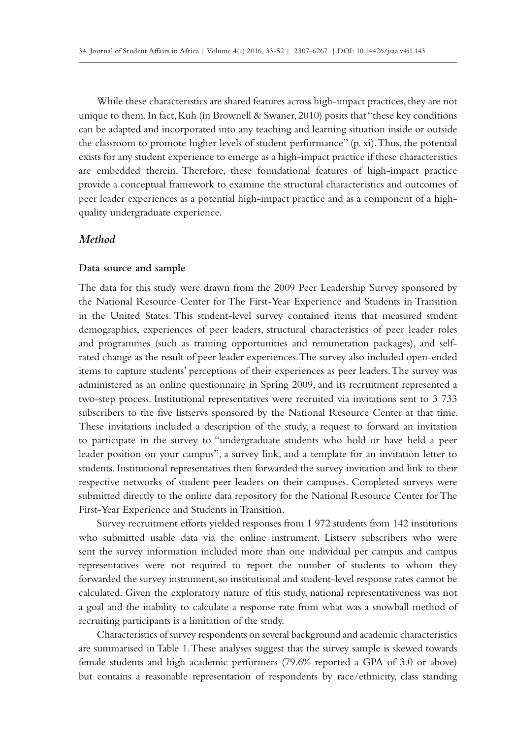While these characteristics are shared features across high-impact practices, they are not unique to them. In fact, Kuh (in Brownell & Swaner, 2010) posits that "these key conditions can be adapted and incorporated into any teaching and learning situation inside or outside the classroom to promote higher levels of student performance" (p. xi). Thus, the potential exists for any student experience to emerge as a high-impact practice if these characteristics are embedded therein. Therefore, these foundational features of high-impact practice provide a conceptual framework to examine the structural characteristics and outcomes of peer leader experiences as a potential high-impact practice and as a component of a highquality undergraduate experience.

## *Method*

#### **Data source and sample**

The data for this study were drawn from the 2009 Peer Leadership Survey sponsored by the National Resource Center for The First-Year Experience and Students in Transition in the United States. This student-level survey contained items that measured student demographics, experiences of peer leaders, structural characteristics of peer leader roles and programmes (such as training opportunities and remuneration packages), and selfrated change as the result of peer leader experiences. The survey also included open-ended items to capture students' perceptions of their experiences as peer leaders. The survey was administered as an online questionnaire in Spring 2009, and its recruitment represented a two-step process. Institutional representatives were recruited via invitations sent to 3 733 subscribers to the five listservs sponsored by the National Resource Center at that time. These invitations included a description of the study, a request to forward an invitation to participate in the survey to "undergraduate students who hold or have held a peer leader position on your campus", a survey link, and a template for an invitation letter to students. Institutional representatives then forwarded the survey invitation and link to their respective networks of student peer leaders on their campuses. Completed surveys were submitted directly to the online data repository for the National Resource Center for The First-Year Experience and Students in Transition.

Survey recruitment efforts yielded responses from 1 972 students from 142 institutions who submitted usable data via the online instrument. Listserv subscribers who were sent the survey information included more than one individual per campus and campus representatives were not required to report the number of students to whom they forwarded the survey instrument, so institutional and student-level response rates cannot be calculated. Given the exploratory nature of this study, national representativeness was not a goal and the inability to calculate a response rate from what was a snowball method of recruiting participants is a limitation of the study.

Characteristics of survey respondents on several background and academic characteristics are summarised in Table 1. These analyses suggest that the survey sample is skewed towards female students and high academic performers (79.6% reported a GPA of 3.0 or above) but contains a reasonable representation of respondents by race/ethnicity, class standing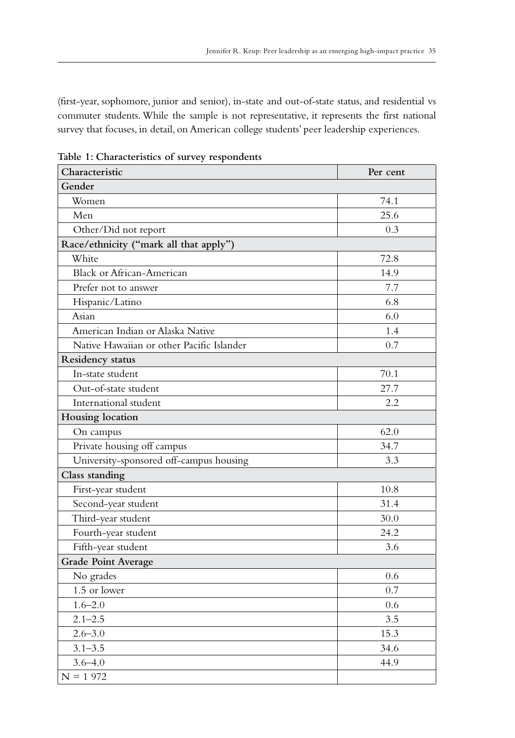(first-year, sophomore, junior and senior), in-state and out-of-state status, and residential vs commuter students. While the sample is not representative, it represents the first national survey that focuses, in detail, on American college students' peer leadership experiences.

| Characteristic                            | Per cent |  |  |  |  |  |
|-------------------------------------------|----------|--|--|--|--|--|
| Gender                                    |          |  |  |  |  |  |
| Women                                     | 74.1     |  |  |  |  |  |
| Men                                       | 25.6     |  |  |  |  |  |
| Other/Did not report                      | 0.3      |  |  |  |  |  |
| Race/ethnicity ("mark all that apply")    |          |  |  |  |  |  |
| White                                     | 72.8     |  |  |  |  |  |
| <b>Black or African-American</b>          | 14.9     |  |  |  |  |  |
| Prefer not to answer                      | 7.7      |  |  |  |  |  |
| Hispanic/Latino                           | 6.8      |  |  |  |  |  |
| Asian                                     | 6.0      |  |  |  |  |  |
| American Indian or Alaska Native          | 1.4      |  |  |  |  |  |
| Native Hawaiian or other Pacific Islander | 0.7      |  |  |  |  |  |
| Residency status                          |          |  |  |  |  |  |
| In-state student                          | 70.1     |  |  |  |  |  |
| Out-of-state student                      | 27.7     |  |  |  |  |  |
| International student                     | 2.2      |  |  |  |  |  |
| Housing location                          |          |  |  |  |  |  |
| On campus                                 | 62.0     |  |  |  |  |  |
| Private housing off campus                | 34.7     |  |  |  |  |  |
| University-sponsored off-campus housing   | 3.3      |  |  |  |  |  |
| Class standing                            |          |  |  |  |  |  |
| First-year student                        | 10.8     |  |  |  |  |  |
| Second-year student                       | 31.4     |  |  |  |  |  |
| Third-year student                        | 30.0     |  |  |  |  |  |
| Fourth-year student                       | 24.2     |  |  |  |  |  |
| Fifth-year student                        | 3.6      |  |  |  |  |  |
| <b>Grade Point Average</b>                |          |  |  |  |  |  |
| No grades                                 | 0.6      |  |  |  |  |  |
| 1.5 or lower                              | 0.7      |  |  |  |  |  |
| $1.6 - 2.0$                               | 0.6      |  |  |  |  |  |
| $2.1 - 2.5$                               | 3.5      |  |  |  |  |  |
| $2.6 - 3.0$                               | 15.3     |  |  |  |  |  |
| $3.1 - 3.5$                               | 34.6     |  |  |  |  |  |
| $3.6 - 4.0$                               | 44.9     |  |  |  |  |  |
| $N = 1972$                                |          |  |  |  |  |  |

**Table 1: Characteristics of survey respondents**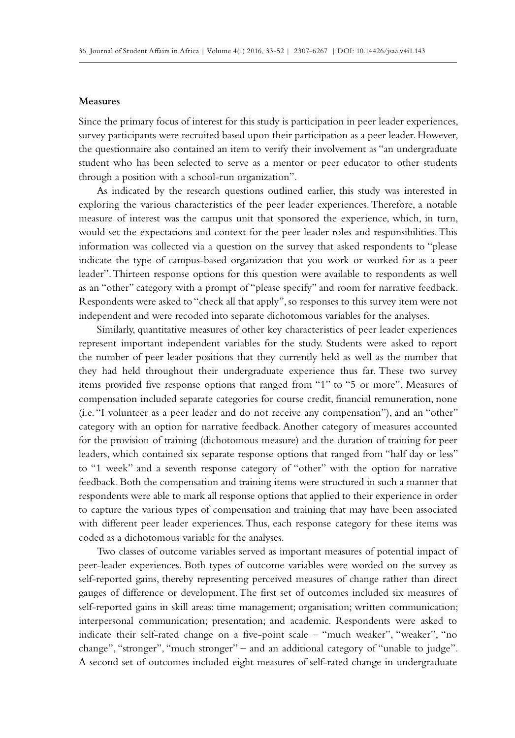#### **Measures**

Since the primary focus of interest for this study is participation in peer leader experiences, survey participants were recruited based upon their participation as a peer leader. However, the questionnaire also contained an item to verify their involvement as "an undergraduate student who has been selected to serve as a mentor or peer educator to other students through a position with a school-run organization".

As indicated by the research questions outlined earlier, this study was interested in exploring the various characteristics of the peer leader experiences. Therefore, a notable measure of interest was the campus unit that sponsored the experience, which, in turn, would set the expectations and context for the peer leader roles and responsibilities. This information was collected via a question on the survey that asked respondents to "please indicate the type of campus-based organization that you work or worked for as a peer leader". Thirteen response options for this question were available to respondents as well as an "other" category with a prompt of "please specify" and room for narrative feedback. Respondents were asked to "check all that apply", so responses to this survey item were not independent and were recoded into separate dichotomous variables for the analyses.

Similarly, quantitative measures of other key characteristics of peer leader experiences represent important independent variables for the study. Students were asked to report the number of peer leader positions that they currently held as well as the number that they had held throughout their undergraduate experience thus far. These two survey items provided five response options that ranged from "1" to "5 or more". Measures of compensation included separate categories for course credit, financial remuneration, none (i.e. "I volunteer as a peer leader and do not receive any compensation"), and an "other" category with an option for narrative feedback. Another category of measures accounted for the provision of training (dichotomous measure) and the duration of training for peer leaders, which contained six separate response options that ranged from "half day or less" to "1 week" and a seventh response category of "other" with the option for narrative feedback. Both the compensation and training items were structured in such a manner that respondents were able to mark all response options that applied to their experience in order to capture the various types of compensation and training that may have been associated with different peer leader experiences. Thus, each response category for these items was coded as a dichotomous variable for the analyses.

Two classes of outcome variables served as important measures of potential impact of peer-leader experiences. Both types of outcome variables were worded on the survey as self-reported gains, thereby representing perceived measures of change rather than direct gauges of difference or development. The first set of outcomes included six measures of self-reported gains in skill areas: time management; organisation; written communication; interpersonal communication; presentation; and academic. Respondents were asked to indicate their self-rated change on a five-point scale – "much weaker", "weaker", "no change", "stronger", "much stronger" – and an additional category of "unable to judge". A second set of outcomes included eight measures of self-rated change in undergraduate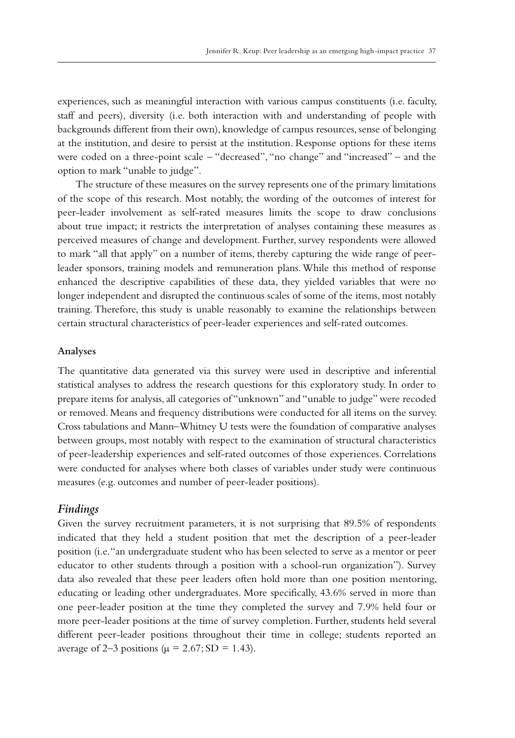experiences, such as meaningful interaction with various campus constituents (i.e. faculty, staff and peers), diversity (i.e. both interaction with and understanding of people with backgrounds different from their own), knowledge of campus resources, sense of belonging at the institution, and desire to persist at the institution. Response options for these items were coded on a three-point scale – "decreased", "no change" and "increased" – and the option to mark "unable to judge".

The structure of these measures on the survey represents one of the primary limitations of the scope of this research. Most notably, the wording of the outcomes of interest for peer-leader involvement as self-rated measures limits the scope to draw conclusions about true impact; it restricts the interpretation of analyses containing these measures as perceived measures of change and development. Further, survey respondents were allowed to mark "all that apply" on a number of items, thereby capturing the wide range of peerleader sponsors, training models and remuneration plans. While this method of response enhanced the descriptive capabilities of these data, they yielded variables that were no longer independent and disrupted the continuous scales of some of the items, most notably training. Therefore, this study is unable reasonably to examine the relationships between certain structural characteristics of peer-leader experiences and self-rated outcomes.

#### **Analyses**

The quantitative data generated via this survey were used in descriptive and inferential statistical analyses to address the research questions for this exploratory study. In order to prepare items for analysis, all categories of "unknown" and "unable to judge" were recoded or removed. Means and frequency distributions were conducted for all items on the survey. Cross tabulations and Mann–Whitney U tests were the foundation of comparative analyses between groups, most notably with respect to the examination of structural characteristics of peer-leadership experiences and self-rated outcomes of those experiences. Correlations were conducted for analyses where both classes of variables under study were continuous measures (e.g. outcomes and number of peer-leader positions).

## *Findings*

Given the survey recruitment parameters, it is not surprising that 89.5% of respondents indicated that they held a student position that met the description of a peer-leader position (i.e. "an undergraduate student who has been selected to serve as a mentor or peer educator to other students through a position with a school-run organization"). Survey data also revealed that these peer leaders often hold more than one position mentoring, educating or leading other undergraduates. More specifically, 43.6% served in more than one peer-leader position at the time they completed the survey and 7.9% held four or more peer-leader positions at the time of survey completion. Further, students held several different peer-leader positions throughout their time in college; students reported an average of 2–3 positions ( $\mu$  = 2.67; SD = 1.43).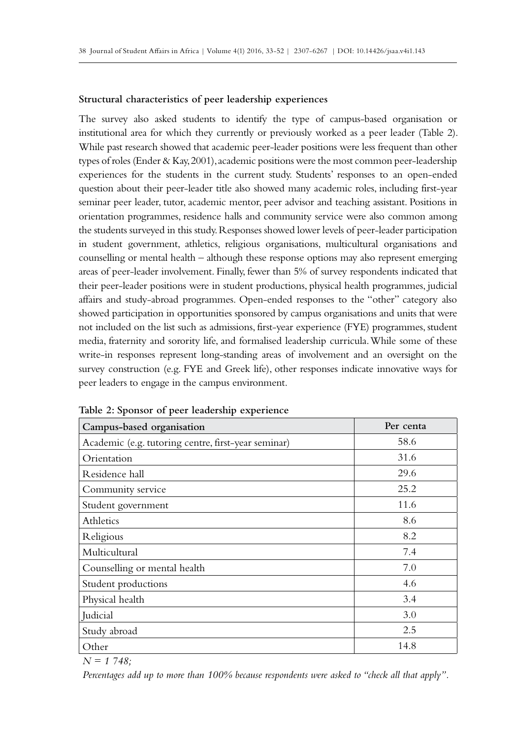#### **Structural characteristics of peer leadership experiences**

The survey also asked students to identify the type of campus-based organisation or institutional area for which they currently or previously worked as a peer leader (Table 2). While past research showed that academic peer-leader positions were less frequent than other types of roles (Ender & Kay, 2001), academic positions were the most common peer-leadership experiences for the students in the current study. Students' responses to an open-ended question about their peer-leader title also showed many academic roles, including first-year seminar peer leader, tutor, academic mentor, peer advisor and teaching assistant. Positions in orientation programmes, residence halls and community service were also common among the students surveyed in this study. Responses showed lower levels of peer-leader participation in student government, athletics, religious organisations, multicultural organisations and counselling or mental health – although these response options may also represent emerging areas of peer-leader involvement. Finally, fewer than 5% of survey respondents indicated that their peer-leader positions were in student productions, physical health programmes, judicial affairs and study-abroad programmes. Open-ended responses to the "other" category also showed participation in opportunities sponsored by campus organisations and units that were not included on the list such as admissions, first-year experience (FYE) programmes, student media, fraternity and sorority life, and formalised leadership curricula. While some of these write-in responses represent long-standing areas of involvement and an oversight on the survey construction (e.g. FYE and Greek life), other responses indicate innovative ways for peer leaders to engage in the campus environment.

| Campus-based organisation                           | Per centa |  |  |  |
|-----------------------------------------------------|-----------|--|--|--|
| Academic (e.g. tutoring centre, first-year seminar) | 58.6      |  |  |  |
| Orientation                                         | 31.6      |  |  |  |
| Residence hall                                      | 29.6      |  |  |  |
| Community service                                   | 25.2      |  |  |  |
| Student government                                  | 11.6      |  |  |  |
| Athletics                                           | 8.6       |  |  |  |
| Religious                                           | 8.2       |  |  |  |
| Multicultural                                       | 7.4       |  |  |  |
| Counselling or mental health                        | 7.0       |  |  |  |
| Student productions                                 | 4.6       |  |  |  |
| Physical health                                     | 3.4       |  |  |  |
| Judicial                                            | 3.0       |  |  |  |
| Study abroad                                        | 2.5       |  |  |  |
| Other                                               | 14.8      |  |  |  |

**Table 2: Sponsor of peer leadership experience**

*N = 1 748;*

*Percentages add up to more than 100% because respondents were asked to "check all that apply".*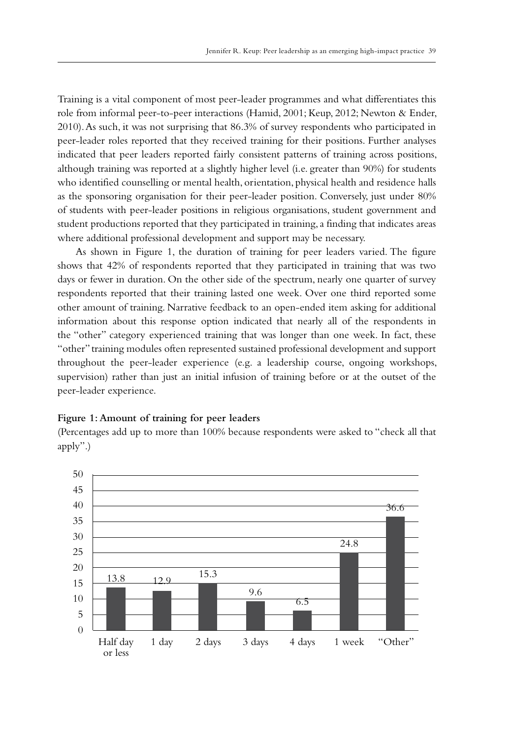Training is a vital component of most peer-leader programmes and what differentiates this role from informal peer-to-peer interactions (Hamid, 2001; Keup, 2012; Newton & Ender, 2010). As such, it was not surprising that 86.3% of survey respondents who participated in peer-leader roles reported that they received training for their positions. Further analyses indicated that peer leaders reported fairly consistent patterns of training across positions, although training was reported at a slightly higher level (i.e. greater than 90%) for students who identified counselling or mental health, orientation, physical health and residence halls as the sponsoring organisation for their peer-leader position. Conversely, just under 80% of students with peer-leader positions in religious organisations, student government and student productions reported that they participated in training, a finding that indicates areas where additional professional development and support may be necessary.

As shown in Figure 1, the duration of training for peer leaders varied. The figure shows that 42% of respondents reported that they participated in training that was two days or fewer in duration. On the other side of the spectrum, nearly one quarter of survey respondents reported that their training lasted one week. Over one third reported some other amount of training. Narrative feedback to an open-ended item asking for additional information about this response option indicated that nearly all of the respondents in the "other" category experienced training that was longer than one week. In fact, these "other" training modules often represented sustained professional development and support throughout the peer-leader experience (e.g. a leadership course, ongoing workshops, supervision) rather than just an initial infusion of training before or at the outset of the peer-leader experience.

#### **Figure 1: Amount of training for peer leaders**

(Percentages add up to more than 100% because respondents were asked to "check all that apply".)

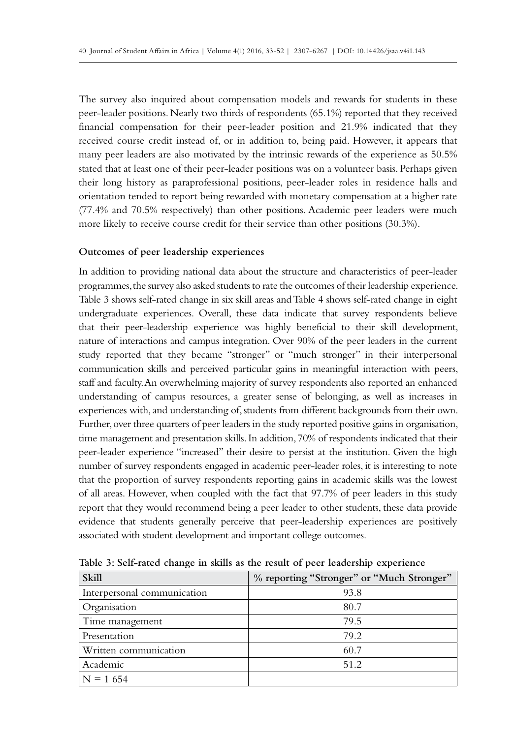The survey also inquired about compensation models and rewards for students in these peer-leader positions. Nearly two thirds of respondents (65.1%) reported that they received financial compensation for their peer-leader position and 21.9% indicated that they received course credit instead of, or in addition to, being paid. However, it appears that many peer leaders are also motivated by the intrinsic rewards of the experience as 50.5% stated that at least one of their peer-leader positions was on a volunteer basis. Perhaps given their long history as paraprofessional positions, peer-leader roles in residence halls and orientation tended to report being rewarded with monetary compensation at a higher rate (77.4% and 70.5% respectively) than other positions. Academic peer leaders were much more likely to receive course credit for their service than other positions (30.3%).

## **Outcomes of peer leadership experiences**

In addition to providing national data about the structure and characteristics of peer-leader programmes, the survey also asked students to rate the outcomes of their leadership experience. Table 3 shows self-rated change in six skill areas and Table 4 shows self-rated change in eight undergraduate experiences. Overall, these data indicate that survey respondents believe that their peer-leadership experience was highly beneficial to their skill development, nature of interactions and campus integration. Over 90% of the peer leaders in the current study reported that they became "stronger" or "much stronger" in their interpersonal communication skills and perceived particular gains in meaningful interaction with peers, staff and faculty. An overwhelming majority of survey respondents also reported an enhanced understanding of campus resources, a greater sense of belonging, as well as increases in experiences with, and understanding of, students from different backgrounds from their own. Further, over three quarters of peer leaders in the study reported positive gains in organisation, time management and presentation skills. In addition, 70% of respondents indicated that their peer-leader experience "increased" their desire to persist at the institution. Given the high number of survey respondents engaged in academic peer-leader roles, it is interesting to note that the proportion of survey respondents reporting gains in academic skills was the lowest of all areas. However, when coupled with the fact that 97.7% of peer leaders in this study report that they would recommend being a peer leader to other students, these data provide evidence that students generally perceive that peer-leadership experiences are positively associated with student development and important college outcomes.

| <b>Skill</b>                | % reporting "Stronger" or "Much Stronger" |
|-----------------------------|-------------------------------------------|
| Interpersonal communication | 93.8                                      |
| Organisation                | 80.7                                      |
| Time management             | 79.5                                      |
| Presentation                | 79.2                                      |
| Written communication       | 60.7                                      |
| Academic                    | 51.2                                      |
| $N = 1654$                  |                                           |

**Table 3: Self-rated change in skills as the result of peer leadership experience**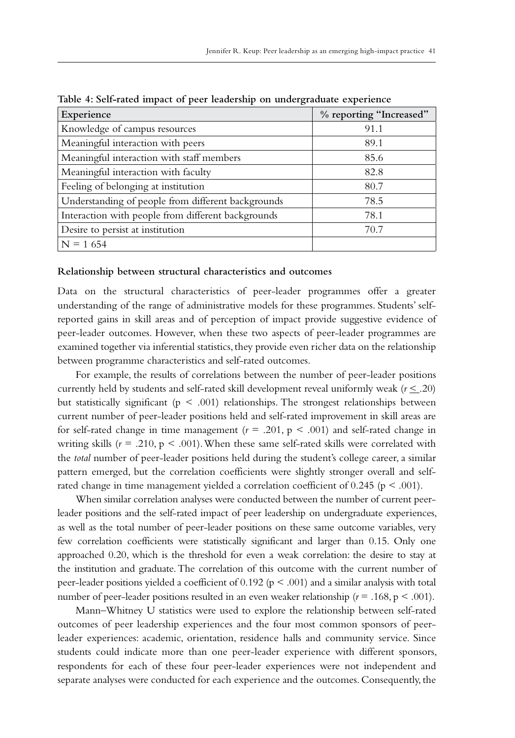| Experience                                         | % reporting "Increased" |
|----------------------------------------------------|-------------------------|
| Knowledge of campus resources                      | 91.1                    |
| Meaningful interaction with peers                  | 89.1                    |
| Meaningful interaction with staff members          | 85.6                    |
| Meaningful interaction with faculty                | 82.8                    |
| Feeling of belonging at institution                | 80.7                    |
| Understanding of people from different backgrounds | 78.5                    |
| Interaction with people from different backgrounds | 78.1                    |
| Desire to persist at institution                   | 70.7                    |
| $N = 1654$                                         |                         |

**Table 4: Self-rated impact of peer leadership on undergraduate experience**

#### **Relationship between structural characteristics and outcomes**

Data on the structural characteristics of peer-leader programmes offer a greater understanding of the range of administrative models for these programmes. Students' selfreported gains in skill areas and of perception of impact provide suggestive evidence of peer-leader outcomes. However, when these two aspects of peer-leader programmes are examined together via inferential statistics, they provide even richer data on the relationship between programme characteristics and self-rated outcomes.

For example, the results of correlations between the number of peer-leader positions currently held by students and self-rated skill development reveal uniformly weak  $(r \leq .20)$ but statistically significant ( $p < .001$ ) relationships. The strongest relationships between current number of peer-leader positions held and self-rated improvement in skill areas are for self-rated change in time management ( $r = .201$ ,  $p < .001$ ) and self-rated change in writing skills  $(r = .210, p < .001)$ . When these same self-rated skills were correlated with the *total* number of peer-leader positions held during the student's college career, a similar pattern emerged, but the correlation coefficients were slightly stronger overall and selfrated change in time management yielded a correlation coefficient of  $0.245$  ( $p < .001$ ).

When similar correlation analyses were conducted between the number of current peerleader positions and the self-rated impact of peer leadership on undergraduate experiences, as well as the total number of peer-leader positions on these same outcome variables, very few correlation coefficients were statistically significant and larger than 0.15. Only one approached 0.20, which is the threshold for even a weak correlation: the desire to stay at the institution and graduate. The correlation of this outcome with the current number of peer-leader positions yielded a coefficient of 0.192 ( $p < .001$ ) and a similar analysis with total number of peer-leader positions resulted in an even weaker relationship  $(r = .168, p < .001)$ .

Mann–Whitney U statistics were used to explore the relationship between self-rated outcomes of peer leadership experiences and the four most common sponsors of peerleader experiences: academic, orientation, residence halls and community service. Since students could indicate more than one peer-leader experience with different sponsors, respondents for each of these four peer-leader experiences were not independent and separate analyses were conducted for each experience and the outcomes. Consequently, the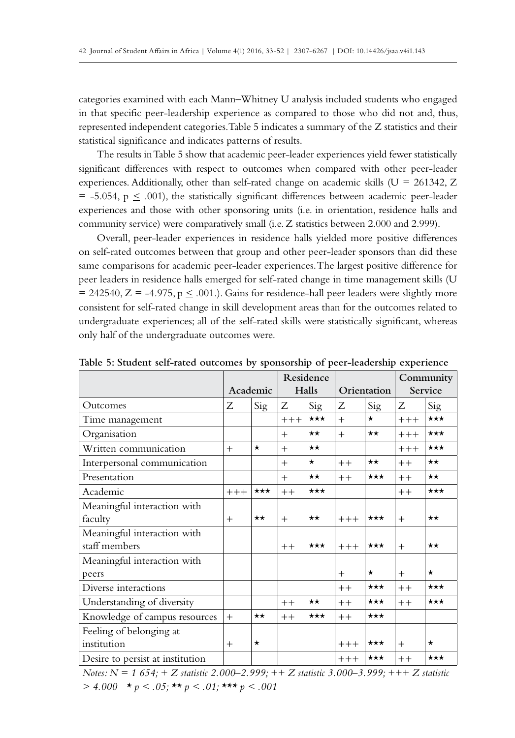categories examined with each Mann–Whitney U analysis included students who engaged in that specific peer-leadership experience as compared to those who did not and, thus, represented independent categories. Table 5 indicates a summary of the Z statistics and their statistical significance and indicates patterns of results.

The results in Table 5 show that academic peer-leader experiences yield fewer statistically significant differences with respect to outcomes when compared with other peer-leader experiences. Additionally, other than self-rated change on academic skills ( $U = 261342$ , Z  $=$  -5.054, p  $\leq$  .001), the statistically significant differences between academic peer-leader experiences and those with other sponsoring units (i.e. in orientation, residence halls and community service) were comparatively small (i.e. Z statistics between 2.000 and 2.999).

Overall, peer-leader experiences in residence halls yielded more positive differences on self-rated outcomes between that group and other peer-leader sponsors than did these same comparisons for academic peer-leader experiences. The largest positive difference for peer leaders in residence halls emerged for self-rated change in time management skills (U  $= 242540, Z = -4.975, p \le .001$ .). Gains for residence-hall peer leaders were slightly more consistent for self-rated change in skill development areas than for the outcomes related to undergraduate experiences; all of the self-rated skills were statistically significant, whereas only half of the undergraduate outcomes were.

|                                  |        |                   | Residence |                   |             |                   | Community |                   |
|----------------------------------|--------|-------------------|-----------|-------------------|-------------|-------------------|-----------|-------------------|
|                                  |        | Academic          | Halls     |                   | Orientation |                   | Service   |                   |
| Outcomes                         | Ζ      | Sig               | Ζ         | Sig               | Ζ           | Sig               | Ζ         | Sig               |
| Time management                  |        |                   | $+++$     | $***$             | $+$         | $\star$           | $+++$     | $\star\star\star$ |
| Organisation                     |        |                   | $+$       | $\star\star$      | $+$         | $\star\star$      | $+++$     | $***$             |
| Written communication            | $+$    | $\star$           | $+$       | $\star\star$      |             |                   | $+++$     | $***$             |
| Interpersonal communication      |        |                   | $+$       | $\star$           | $++$        | $\star\star$      | $++$      | $\star\star$      |
| Presentation                     |        |                   | $+$       | $\star\star$      | $++$        | $\star\star\star$ | $++$      | $\star\star$      |
| Academic                         | $+++$  | $\star\star\star$ | $++$      | $***$             |             |                   | $++$      | $***$             |
| Meaningful interaction with      |        |                   |           |                   |             |                   |           |                   |
| faculty                          | $^{+}$ | $\star\star$      | $+$       | $\star\star$      | $+++$       | $\star\star\star$ | $+$       | $\star\star$      |
| Meaningful interaction with      |        |                   |           |                   |             |                   |           |                   |
| staff members                    |        |                   | $++$      | $***$             | $+++$       | $***$             | $+$       | $\star\star$      |
| Meaningful interaction with      |        |                   |           |                   |             |                   |           |                   |
| peers                            |        |                   |           |                   | $+$         | $\star$           | $+$       | $\star$           |
| Diverse interactions             |        |                   |           |                   | $++$        | $\star\star\star$ | $++$      | $***$             |
| Understanding of diversity       |        |                   | $++$      | $\star\star$      | $++$        | $\star\star\star$ | $++$      | $***$             |
| Knowledge of campus resources    | $+$    | $\star\star$      | $++$      | $\star\star\star$ | $++$        | $\star\star\star$ |           |                   |
| Feeling of belonging at          |        |                   |           |                   |             |                   |           |                   |
| institution                      | $+$    | $^\star$          |           |                   | $++++$      | $\star\star\star$ | $+$       | $\star$           |
| Desire to persist at institution |        |                   |           |                   | $++++$      | $\star\star\star$ | $++$      | $\star\star\star$ |

**Table 5: Student self-rated outcomes by sponsorship of peer-leadership experience**

*Notes: N = 1 654; + Z statistic 2.000–2.999; ++ Z statistic 3.000–3.999; +++ Z statistic > 4.000 \* p < .05; \*\* p < .01; \*\*\* p < .001*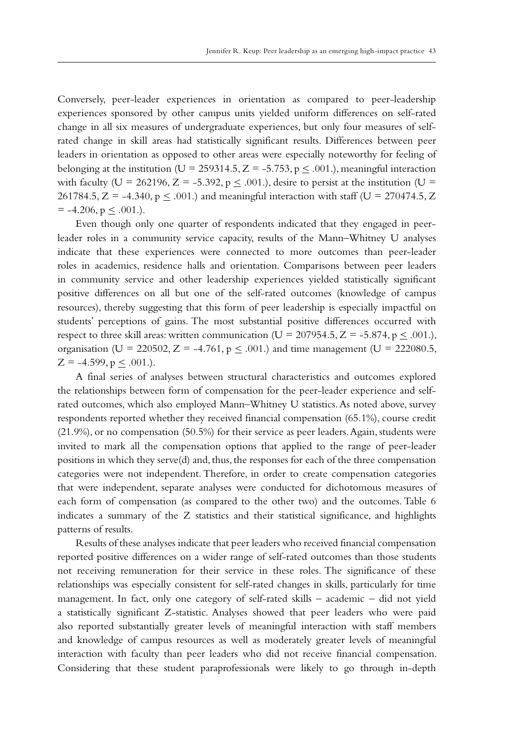Conversely, peer-leader experiences in orientation as compared to peer-leadership experiences sponsored by other campus units yielded uniform differences on self-rated change in all six measures of undergraduate experiences, but only four measures of selfrated change in skill areas had statistically significant results. Differences between peer leaders in orientation as opposed to other areas were especially noteworthy for feeling of belonging at the institution (U = 259314.5, Z = -5.753, p < .001.), meaningful interaction with faculty (U = 262196, Z = -5.392, p  $\leq$  .001.), desire to persist at the institution (U = 261784.5, Z = -4.340,  $p \le 0.001$ .) and meaningful interaction with staff (U = 270474.5, Z  $= -4.206$ ,  $p \le .001$ .).

Even though only one quarter of respondents indicated that they engaged in peerleader roles in a community service capacity, results of the Mann–Whitney U analyses indicate that these experiences were connected to more outcomes than peer-leader roles in academics, residence halls and orientation. Comparisons between peer leaders in community service and other leadership experiences yielded statistically significant positive differences on all but one of the self-rated outcomes (knowledge of campus resources), thereby suggesting that this form of peer leadership is especially impactful on students' perceptions of gains. The most substantial positive differences occurred with respect to three skill areas: written communication (U = 207954.5, Z = -5.874, p  $\leq$  .001.), organisation (U = 220502, Z = -4.761,  $p \leq .001$ .) and time management (U = 222080.5,  $Z = -4.599$ ,  $p < .001$ .).

A final series of analyses between structural characteristics and outcomes explored the relationships between form of compensation for the peer-leader experience and selfrated outcomes, which also employed Mann–Whitney U statistics. As noted above, survey respondents reported whether they received financial compensation (65.1%), course credit (21.9%), or no compensation (50.5%) for their service as peer leaders. Again, students were invited to mark all the compensation options that applied to the range of peer-leader positions in which they serve(d) and, thus, the responses for each of the three compensation categories were not independent. Therefore, in order to create compensation categories that were independent, separate analyses were conducted for dichotomous measures of each form of compensation (as compared to the other two) and the outcomes. Table 6 indicates a summary of the Z statistics and their statistical significance, and highlights patterns of results.

Results of these analyses indicate that peer leaders who received financial compensation reported positive differences on a wider range of self-rated outcomes than those students not receiving remuneration for their service in these roles. The significance of these relationships was especially consistent for self-rated changes in skills, particularly for time management. In fact, only one category of self-rated skills – academic – did not yield a statistically significant Z-statistic. Analyses showed that peer leaders who were paid also reported substantially greater levels of meaningful interaction with staff members and knowledge of campus resources as well as moderately greater levels of meaningful interaction with faculty than peer leaders who did not receive financial compensation. Considering that these student paraprofessionals were likely to go through in-depth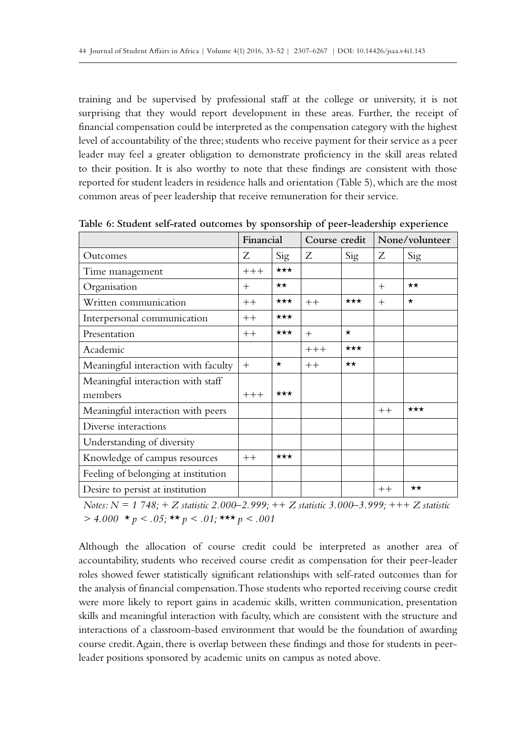training and be supervised by professional staff at the college or university, it is not surprising that they would report development in these areas. Further, the receipt of financial compensation could be interpreted as the compensation category with the highest level of accountability of the three; students who receive payment for their service as a peer leader may feel a greater obligation to demonstrate proficiency in the skill areas related to their position. It is also worthy to note that these findings are consistent with those reported for student leaders in residence halls and orientation (Table 5), which are the most common areas of peer leadership that receive remuneration for their service.

|                                     | Financial<br>Course credit |                   | None/volunteer |                   |        |              |
|-------------------------------------|----------------------------|-------------------|----------------|-------------------|--------|--------------|
| Outcomes                            | Z                          | Sig               | Ζ              | Sig               | Ζ      | Sig          |
| Time management                     | $+++$                      | $***$             |                |                   |        |              |
| Organisation                        | $^{+}$                     | $\star\star$      |                |                   | $^{+}$ | $\star\star$ |
| Written communication               | $++$                       | $\star\star\star$ | $++$           | $\star\star\star$ | $^{+}$ | $\star$      |
| Interpersonal communication         | $++$                       | $\star\star\star$ |                |                   |        |              |
| Presentation                        | $++$                       | $\star\star\star$ | $+$            | $\star$           |        |              |
| Academic                            |                            |                   | $+++$          | $***$             |        |              |
| Meaningful interaction with faculty | $+$                        | $\star$           | $++$           | $\star\star$      |        |              |
| Meaningful interaction with staff   |                            |                   |                |                   |        |              |
| members                             | $+++$                      | $***$             |                |                   |        |              |
| Meaningful interaction with peers   |                            |                   |                |                   | $++$   | $***$        |
| Diverse interactions                |                            |                   |                |                   |        |              |
| Understanding of diversity          |                            |                   |                |                   |        |              |
| Knowledge of campus resources       | $++$                       | $***$             |                |                   |        |              |
| Feeling of belonging at institution |                            |                   |                |                   |        |              |
| Desire to persist at institution    |                            |                   |                |                   | $++$   | $\star\star$ |

**Table 6: Student self-rated outcomes by sponsorship of peer-leadership experience**

*Notes: N = 1 748; + Z statistic 2.000–2.999; ++ Z statistic 3.000–3.999; +++ Z statistic > 4.000 \* p < .05; \*\* p < .01; \*\*\* p < .001*

Although the allocation of course credit could be interpreted as another area of accountability, students who received course credit as compensation for their peer-leader roles showed fewer statistically significant relationships with self-rated outcomes than for the analysis of financial compensation. Those students who reported receiving course credit were more likely to report gains in academic skills, written communication, presentation skills and meaningful interaction with faculty, which are consistent with the structure and interactions of a classroom-based environment that would be the foundation of awarding course credit. Again, there is overlap between these findings and those for students in peerleader positions sponsored by academic units on campus as noted above.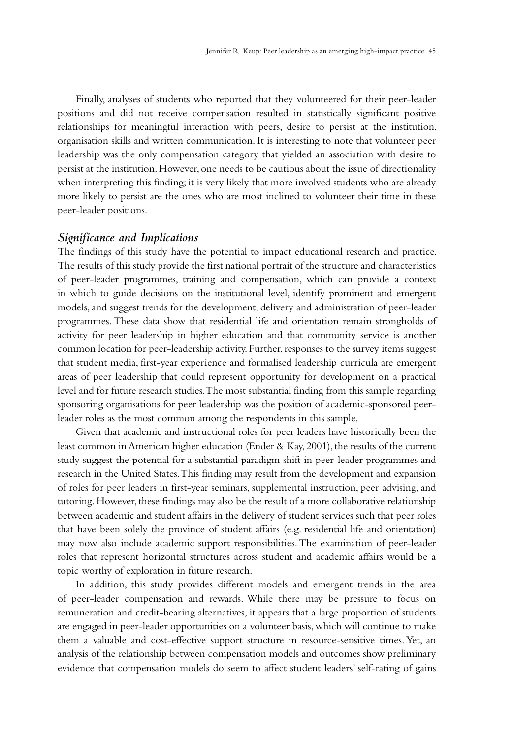Finally, analyses of students who reported that they volunteered for their peer-leader positions and did not receive compensation resulted in statistically significant positive relationships for meaningful interaction with peers, desire to persist at the institution, organisation skills and written communication. It is interesting to note that volunteer peer leadership was the only compensation category that yielded an association with desire to persist at the institution. However, one needs to be cautious about the issue of directionality when interpreting this finding; it is very likely that more involved students who are already more likely to persist are the ones who are most inclined to volunteer their time in these peer-leader positions.

## *Significance and Implications*

The findings of this study have the potential to impact educational research and practice. The results of this study provide the first national portrait of the structure and characteristics of peer-leader programmes, training and compensation, which can provide a context in which to guide decisions on the institutional level, identify prominent and emergent models, and suggest trends for the development, delivery and administration of peer-leader programmes. These data show that residential life and orientation remain strongholds of activity for peer leadership in higher education and that community service is another common location for peer-leadership activity. Further, responses to the survey items suggest that student media, first-year experience and formalised leadership curricula are emergent areas of peer leadership that could represent opportunity for development on a practical level and for future research studies. The most substantial finding from this sample regarding sponsoring organisations for peer leadership was the position of academic-sponsored peerleader roles as the most common among the respondents in this sample.

Given that academic and instructional roles for peer leaders have historically been the least common in American higher education (Ender & Kay, 2001), the results of the current study suggest the potential for a substantial paradigm shift in peer-leader programmes and research in the United States. This finding may result from the development and expansion of roles for peer leaders in first-year seminars, supplemental instruction, peer advising, and tutoring. However, these findings may also be the result of a more collaborative relationship between academic and student affairs in the delivery of student services such that peer roles that have been solely the province of student affairs (e.g. residential life and orientation) may now also include academic support responsibilities. The examination of peer-leader roles that represent horizontal structures across student and academic affairs would be a topic worthy of exploration in future research.

In addition, this study provides different models and emergent trends in the area of peer-leader compensation and rewards. While there may be pressure to focus on remuneration and credit-bearing alternatives, it appears that a large proportion of students are engaged in peer-leader opportunities on a volunteer basis, which will continue to make them a valuable and cost-effective support structure in resource-sensitive times. Yet, an analysis of the relationship between compensation models and outcomes show preliminary evidence that compensation models do seem to affect student leaders' self-rating of gains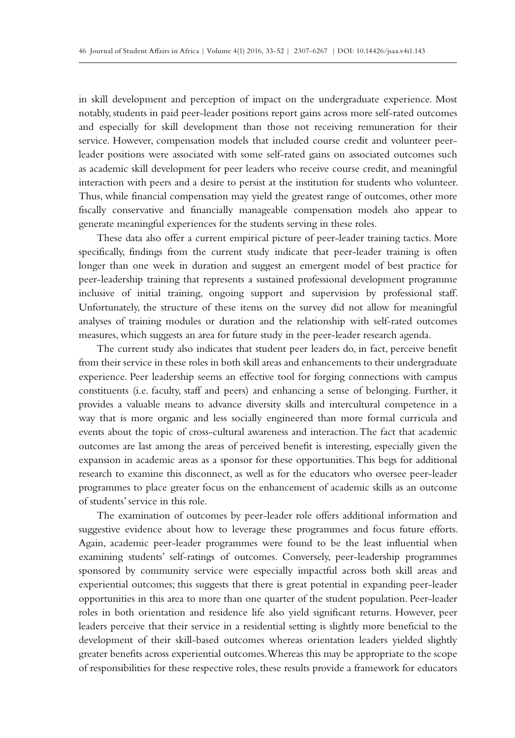in skill development and perception of impact on the undergraduate experience. Most notably, students in paid peer-leader positions report gains across more self-rated outcomes and especially for skill development than those not receiving remuneration for their service. However, compensation models that included course credit and volunteer peerleader positions were associated with some self-rated gains on associated outcomes such as academic skill development for peer leaders who receive course credit, and meaningful interaction with peers and a desire to persist at the institution for students who volunteer. Thus, while financial compensation may yield the greatest range of outcomes, other more fiscally conservative and financially manageable compensation models also appear to generate meaningful experiences for the students serving in these roles.

These data also offer a current empirical picture of peer-leader training tactics. More specifically, findings from the current study indicate that peer-leader training is often longer than one week in duration and suggest an emergent model of best practice for peer-leadership training that represents a sustained professional development programme inclusive of initial training, ongoing support and supervision by professional staff. Unfortunately, the structure of these items on the survey did not allow for meaningful analyses of training modules or duration and the relationship with self-rated outcomes measures, which suggests an area for future study in the peer-leader research agenda.

The current study also indicates that student peer leaders do, in fact, perceive benefit from their service in these roles in both skill areas and enhancements to their undergraduate experience. Peer leadership seems an effective tool for forging connections with campus constituents (i.e. faculty, staff and peers) and enhancing a sense of belonging. Further, it provides a valuable means to advance diversity skills and intercultural competence in a way that is more organic and less socially engineered than more formal curricula and events about the topic of cross-cultural awareness and interaction. The fact that academic outcomes are last among the areas of perceived benefit is interesting, especially given the expansion in academic areas as a sponsor for these opportunities. This begs for additional research to examine this disconnect, as well as for the educators who oversee peer-leader programmes to place greater focus on the enhancement of academic skills as an outcome of students' service in this role.

The examination of outcomes by peer-leader role offers additional information and suggestive evidence about how to leverage these programmes and focus future efforts. Again, academic peer-leader programmes were found to be the least influential when examining students' self-ratings of outcomes. Conversely, peer-leadership programmes sponsored by community service were especially impactful across both skill areas and experiential outcomes; this suggests that there is great potential in expanding peer-leader opportunities in this area to more than one quarter of the student population. Peer-leader roles in both orientation and residence life also yield significant returns. However, peer leaders perceive that their service in a residential setting is slightly more beneficial to the development of their skill-based outcomes whereas orientation leaders yielded slightly greater benefits across experiential outcomes. Whereas this may be appropriate to the scope of responsibilities for these respective roles, these results provide a framework for educators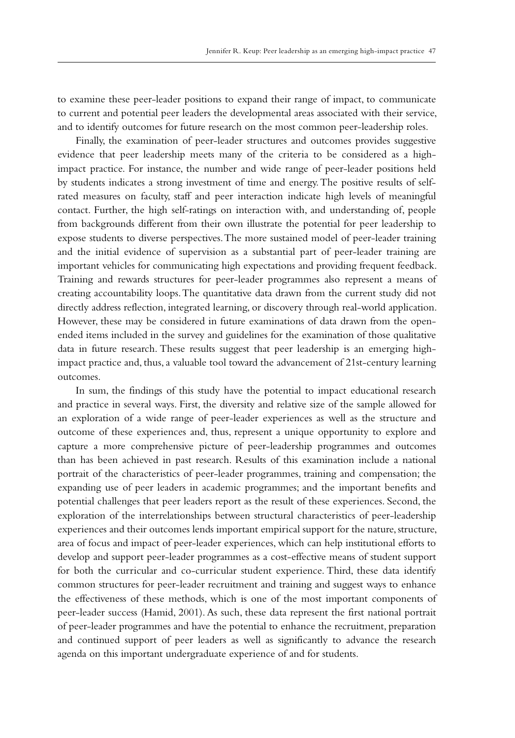to examine these peer-leader positions to expand their range of impact, to communicate to current and potential peer leaders the developmental areas associated with their service, and to identify outcomes for future research on the most common peer-leadership roles.

Finally, the examination of peer-leader structures and outcomes provides suggestive evidence that peer leadership meets many of the criteria to be considered as a highimpact practice. For instance, the number and wide range of peer-leader positions held by students indicates a strong investment of time and energy. The positive results of selfrated measures on faculty, staff and peer interaction indicate high levels of meaningful contact. Further, the high self-ratings on interaction with, and understanding of, people from backgrounds different from their own illustrate the potential for peer leadership to expose students to diverse perspectives. The more sustained model of peer-leader training and the initial evidence of supervision as a substantial part of peer-leader training are important vehicles for communicating high expectations and providing frequent feedback. Training and rewards structures for peer-leader programmes also represent a means of creating accountability loops. The quantitative data drawn from the current study did not directly address reflection, integrated learning, or discovery through real-world application. However, these may be considered in future examinations of data drawn from the openended items included in the survey and guidelines for the examination of those qualitative data in future research. These results suggest that peer leadership is an emerging highimpact practice and, thus, a valuable tool toward the advancement of 21st-century learning outcomes.

In sum, the findings of this study have the potential to impact educational research and practice in several ways. First, the diversity and relative size of the sample allowed for an exploration of a wide range of peer-leader experiences as well as the structure and outcome of these experiences and, thus, represent a unique opportunity to explore and capture a more comprehensive picture of peer-leadership programmes and outcomes than has been achieved in past research. Results of this examination include a national portrait of the characteristics of peer-leader programmes, training and compensation; the expanding use of peer leaders in academic programmes; and the important benefits and potential challenges that peer leaders report as the result of these experiences. Second, the exploration of the interrelationships between structural characteristics of peer-leadership experiences and their outcomes lends important empirical support for the nature, structure, area of focus and impact of peer-leader experiences, which can help institutional efforts to develop and support peer-leader programmes as a cost-effective means of student support for both the curricular and co-curricular student experience. Third, these data identify common structures for peer-leader recruitment and training and suggest ways to enhance the effectiveness of these methods, which is one of the most important components of peer-leader success (Hamid, 2001). As such, these data represent the first national portrait of peer-leader programmes and have the potential to enhance the recruitment, preparation and continued support of peer leaders as well as significantly to advance the research agenda on this important undergraduate experience of and for students.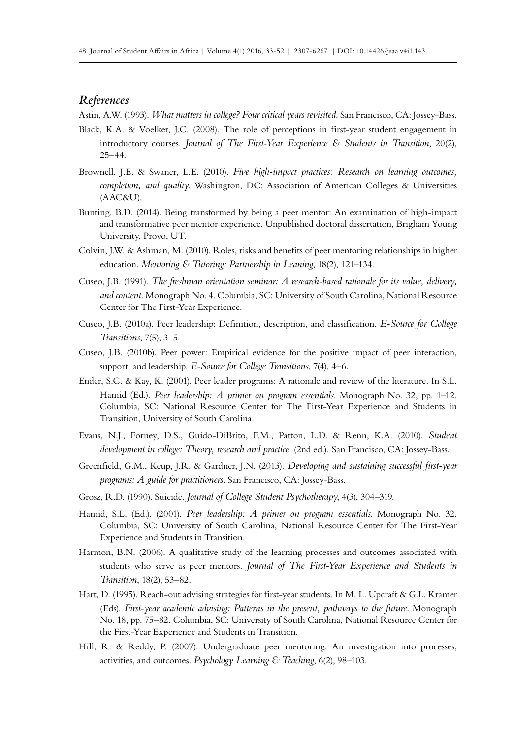## *References*

Astin, A.W. (1993). *What matters in college? Four critical years revisited*. San Francisco, CA: Jossey-Bass.

- Black, K.A. & Voelker, J.C. (2008). The role of perceptions in first-year student engagement in introductory courses. *Journal of The First-Year Experience & Students in Transition*, 20(2), 25–44.
- Brownell, J.E. & Swaner, L.E. (2010). *Five high-impact practices: Research on learning outcomes, completion, and quality*. Washington, DC: Association of American Colleges & Universities (AAC&U).
- Bunting, B.D. (2014). Being transformed by being a peer mentor: An examination of high-impact and transformative peer mentor experience. Unpublished doctoral dissertation, Brigham Young University, Provo, UT.
- Colvin, J.W. & Ashman, M. (2010). Roles, risks and benefits of peer mentoring relationships in higher education. *Mentoring & Tutoring: Partnership in Leaning*, 18(2), 121–134.
- Cuseo, J.B. (1991). *The freshman orientation seminar: A research-based rationale for its value, delivery, and content*. Monograph No. 4. Columbia, SC: University of South Carolina, National Resource Center for The First-Year Experience.
- Cuseo, J.B. (2010a). Peer leadership: Definition, description, and classification. *E-Source for College Transitions*, 7(5), 3–5.
- Cuseo, J.B. (2010b). Peer power: Empirical evidence for the positive impact of peer interaction, support, and leadership. *E-Source for College Transitions*, 7(4), 4–6.
- Ender, S.C. & Kay, K. (2001). Peer leader programs: A rationale and review of the literature. In S.L. Hamid (Ed.). *Peer leadership: A primer on program essentials*. Monograph No. 32, pp. 1–12. Columbia, SC: National Resource Center for The First-Year Experience and Students in Transition, University of South Carolina.
- Evans, N.J., Forney, D.S., Guido-DiBrito, F.M., Patton, L.D. & Renn, K.A. (2010). *Student development in college: Theory, research and practice.* (2nd ed.)*.* San Francisco, CA: Jossey-Bass.
- Greenfield, G.M., Keup, J.R. & Gardner, J.N. (2013). *Developing and sustaining successful first-year programs: A guide for practitioners*. San Francisco, CA: Jossey-Bass.
- Grosz, R.D. (1990). Suicide. *Journal of College Student Psychotherapy*, 4(3), 304–319.
- Hamid, S.L. (Ed.). (2001). *Peer leadership: A primer on program essentials*. Monograph No. 32. Columbia, SC: University of South Carolina, National Resource Center for The First-Year Experience and Students in Transition.
- Harmon, B.N. (2006). A qualitative study of the learning processes and outcomes associated with students who serve as peer mentors. *Journal of The First-Year Experience and Students in Transition*, 18(2), 53–82.
- Hart, D. (1995). Reach-out advising strategies for first-year students. In M. L. Upcraft & G.L. Kramer (Eds). *First-year academic advising: Patterns in the present, pathways to the future.* Monograph No. 18, pp. 75–82. Columbia, SC: University of South Carolina, National Resource Center for the First-Year Experience and Students in Transition.
- Hill, R. & Reddy, P. (2007). Undergraduate peer mentoring: An investigation into processes, activities, and outcomes. *Psychology Learning & Teaching*, 6(2), 98–103.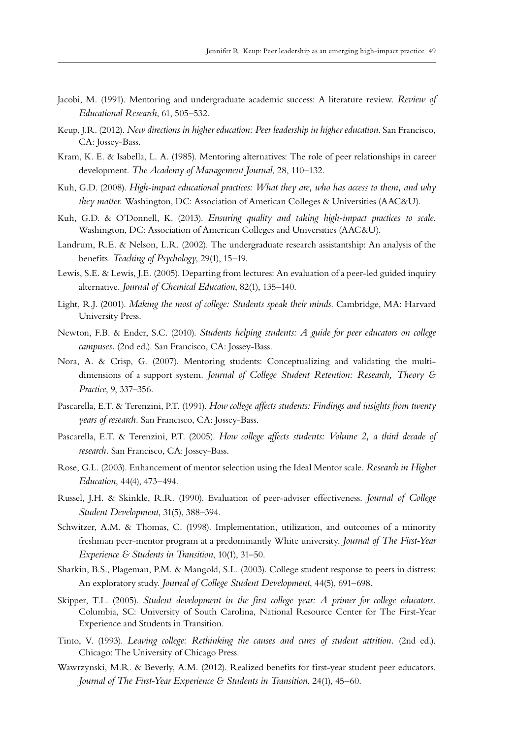- Jacobi, M. (1991). Mentoring and undergraduate academic success: A literature review. *Review of Educational Research*, 61, 505–532.
- Keup, J.R. (2012). *New directions in higher education: Peer leadership in higher education*. San Francisco, CA: Jossey-Bass.
- Kram, K. E. & Isabella, L. A. (1985). Mentoring alternatives: The role of peer relationships in career development. *The Academy of Management Journal*, 28, 110–132.
- Kuh, G.D. (2008). *High-impact educational practices: What they are, who has access to them, and why they matter.* Washington, DC: Association of American Colleges & Universities (AAC&U).
- Kuh, G.D. & O'Donnell, K. (2013). *Ensuring quality and taking high-impact practices to scale*. Washington, DC: Association of American Colleges and Universities (AAC&U).
- Landrum, R.E. & Nelson, L.R. (2002). The undergraduate research assistantship: An analysis of the benefits. *Teaching of Psychology*, 29(1), 15–19.
- Lewis, S.E. & Lewis, J.E. (2005). Departing from lectures: An evaluation of a peer-led guided inquiry alternative. *Journal of Chemical Education*, 82(1), 135–140.
- Light, R.J. (2001). *Making the most of college: Students speak their minds*. Cambridge, MA: Harvard University Press.
- Newton, F.B. & Ender, S.C. (2010). *Students helping students: A guide for peer educators on college campuses.* (2nd ed.). San Francisco, CA: Jossey-Bass.
- Nora, A. & Crisp, G. (2007). Mentoring students: Conceptualizing and validating the multidimensions of a support system. *Journal of College Student Retention: Research, Theory & Practice*, 9, 337–356.
- Pascarella, E.T. & Terenzini, P.T. (1991). *How college affects students: Findings and insights from twenty years of research.* San Francisco, CA: Jossey-Bass.
- Pascarella, E.T. & Terenzini, P.T. (2005). *How college affects students: Volume 2, a third decade of research.* San Francisco, CA: Jossey-Bass.
- Rose, G.L. (2003). Enhancement of mentor selection using the Ideal Mentor scale. *Research in Higher Education*, 44(4), 473–494.
- Russel, J.H. & Skinkle, R.R. (1990). Evaluation of peer-adviser effectiveness. *Journal of College Student Development*, 31(5), 388–394.
- Schwitzer, A.M. & Thomas, C. (1998). Implementation, utilization, and outcomes of a minority freshman peer-mentor program at a predominantly White university. *Journal of The First-Year Experience & Students in Transition*, 10(1), 31–50.
- Sharkin, B.S., Plageman, P.M. & Mangold, S.L. (2003). College student response to peers in distress: An exploratory study. *Journal of College Student Development*, 44(5), 691–698.
- Skipper, T.L. (2005). *Student development in the first college year: A primer for college educators.* Columbia, SC: University of South Carolina, National Resource Center for The First-Year Experience and Students in Transition.
- Tinto, V. (1993). *Leaving college: Rethinking the causes and cures of student attrition.* (2nd ed.). Chicago: The University of Chicago Press.
- Wawrzynski, M.R. & Beverly, A.M. (2012). Realized benefits for first-year student peer educators. *Journal of The First-Year Experience & Students in Transition*, 24(1), 45–60.